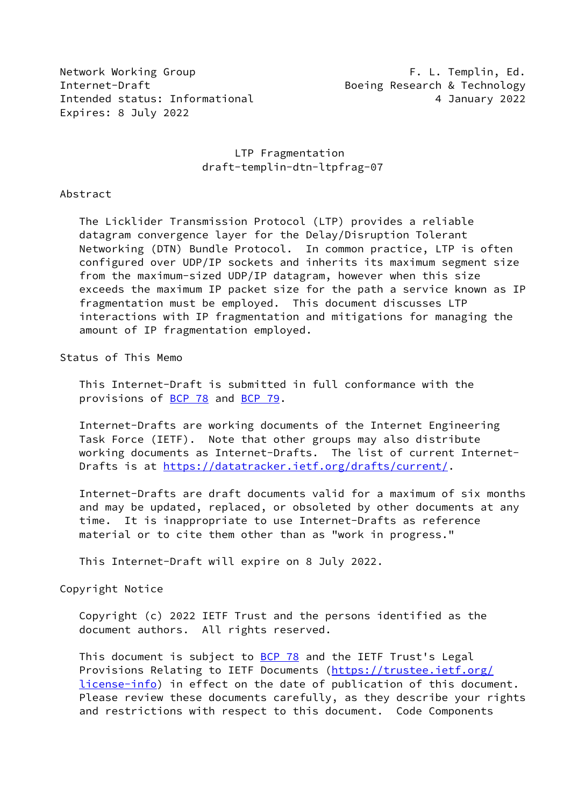Network Working Group **F. L. Templin, Ed.** Internet-Draft Boeing Research & Technology Intended status: Informational 1997 1997 1998 4 January 2022 Expires: 8 July 2022

## LTP Fragmentation draft-templin-dtn-ltpfrag-07

#### Abstract

 The Licklider Transmission Protocol (LTP) provides a reliable datagram convergence layer for the Delay/Disruption Tolerant Networking (DTN) Bundle Protocol. In common practice, LTP is often configured over UDP/IP sockets and inherits its maximum segment size from the maximum-sized UDP/IP datagram, however when this size exceeds the maximum IP packet size for the path a service known as IP fragmentation must be employed. This document discusses LTP interactions with IP fragmentation and mitigations for managing the amount of IP fragmentation employed.

Status of This Memo

 This Internet-Draft is submitted in full conformance with the provisions of [BCP 78](https://datatracker.ietf.org/doc/pdf/bcp78) and [BCP 79](https://datatracker.ietf.org/doc/pdf/bcp79).

 Internet-Drafts are working documents of the Internet Engineering Task Force (IETF). Note that other groups may also distribute working documents as Internet-Drafts. The list of current Internet- Drafts is at<https://datatracker.ietf.org/drafts/current/>.

 Internet-Drafts are draft documents valid for a maximum of six months and may be updated, replaced, or obsoleted by other documents at any time. It is inappropriate to use Internet-Drafts as reference material or to cite them other than as "work in progress."

This Internet-Draft will expire on 8 July 2022.

Copyright Notice

 Copyright (c) 2022 IETF Trust and the persons identified as the document authors. All rights reserved.

This document is subject to **[BCP 78](https://datatracker.ietf.org/doc/pdf/bcp78)** and the IETF Trust's Legal Provisions Relating to IETF Documents ([https://trustee.ietf.org/](https://trustee.ietf.org/license-info) [license-info](https://trustee.ietf.org/license-info)) in effect on the date of publication of this document. Please review these documents carefully, as they describe your rights and restrictions with respect to this document. Code Components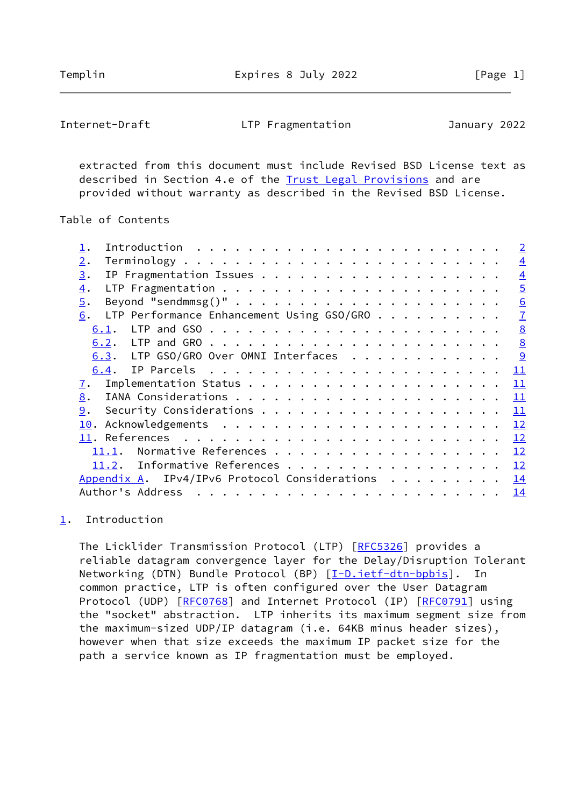Templin **Expires 8 July 2022** [Page 1]

<span id="page-1-1"></span>Internet-Draft LTP Fragmentation January 2022

 extracted from this document must include Revised BSD License text as described in Section 4.e of the **Trust Legal Provisions** and are provided without warranty as described in the Revised BSD License.

Table of Contents

|                                                   |    | $\overline{2}$  |
|---------------------------------------------------|----|-----------------|
| 2.                                                |    | $\overline{4}$  |
| 3.                                                |    | $\overline{4}$  |
| $\overline{4}$ .                                  |    | $\overline{5}$  |
| 5.                                                |    | 6               |
| LTP Performance Enhancement Using $GSO/GRO$<br>6. |    | $\overline{1}$  |
| 6.1.                                              |    | 8               |
|                                                   |    | $\underline{8}$ |
| 6.3. LTP GSO/GRO Over OMNI Interfaces             | 9  |                 |
|                                                   | 11 |                 |
| 7.                                                | 11 |                 |
| 8.                                                | 11 |                 |
| 9.                                                | 11 |                 |
|                                                   | 12 |                 |
|                                                   | 12 |                 |
| Normative References<br>11.1.                     | 12 |                 |
| 11.2. Informative References                      | 12 |                 |
| Appendix A. IPv4/IPv6 Protocol Considerations     | 14 |                 |
| Author's Address                                  | 14 |                 |
|                                                   |    |                 |

# <span id="page-1-0"></span>[1](#page-1-0). Introduction

 The Licklider Transmission Protocol (LTP) [[RFC5326](https://datatracker.ietf.org/doc/pdf/rfc5326)] provides a reliable datagram convergence layer for the Delay/Disruption Tolerant Networking (DTN) Bundle Protocol (BP) [[I-D.ietf-dtn-bpbis\]](#page-13-1). In common practice, LTP is often configured over the User Datagram Protocol (UDP) [\[RFC0768](https://datatracker.ietf.org/doc/pdf/rfc0768)] and Internet Protocol (IP) [\[RFC0791](https://datatracker.ietf.org/doc/pdf/rfc0791)] using the "socket" abstraction. LTP inherits its maximum segment size from the maximum-sized UDP/IP datagram (i.e. 64KB minus header sizes), however when that size exceeds the maximum IP packet size for the path a service known as IP fragmentation must be employed.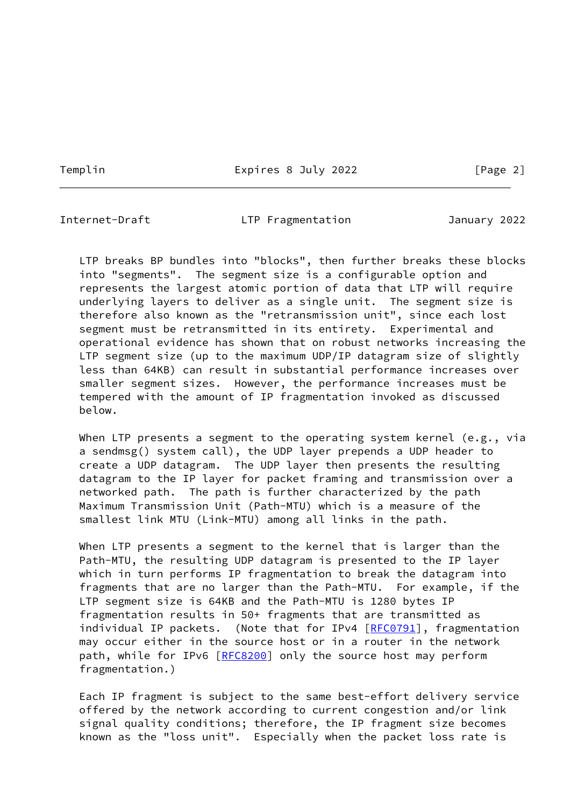Templin **Expires 8 July 2022** [Page 2]

Internet-Draft LTP Fragmentation January 2022

 LTP breaks BP bundles into "blocks", then further breaks these blocks into "segments". The segment size is a configurable option and represents the largest atomic portion of data that LTP will require underlying layers to deliver as a single unit. The segment size is therefore also known as the "retransmission unit", since each lost segment must be retransmitted in its entirety. Experimental and operational evidence has shown that on robust networks increasing the LTP segment size (up to the maximum UDP/IP datagram size of slightly less than 64KB) can result in substantial performance increases over smaller segment sizes. However, the performance increases must be tempered with the amount of IP fragmentation invoked as discussed below.

When LTP presents a segment to the operating system kernel (e.g., via a sendmsg() system call), the UDP layer prepends a UDP header to create a UDP datagram. The UDP layer then presents the resulting datagram to the IP layer for packet framing and transmission over a networked path. The path is further characterized by the path Maximum Transmission Unit (Path-MTU) which is a measure of the smallest link MTU (Link-MTU) among all links in the path.

 When LTP presents a segment to the kernel that is larger than the Path-MTU, the resulting UDP datagram is presented to the IP layer which in turn performs IP fragmentation to break the datagram into fragments that are no larger than the Path-MTU. For example, if the LTP segment size is 64KB and the Path-MTU is 1280 bytes IP fragmentation results in 50+ fragments that are transmitted as individual IP packets. (Note that for IPv4 [\[RFC0791](https://datatracker.ietf.org/doc/pdf/rfc0791)], fragmentation may occur either in the source host or in a router in the network path, while for IPv6 [\[RFC8200](https://datatracker.ietf.org/doc/pdf/rfc8200)] only the source host may perform fragmentation.)

 Each IP fragment is subject to the same best-effort delivery service offered by the network according to current congestion and/or link signal quality conditions; therefore, the IP fragment size becomes known as the "loss unit". Especially when the packet loss rate is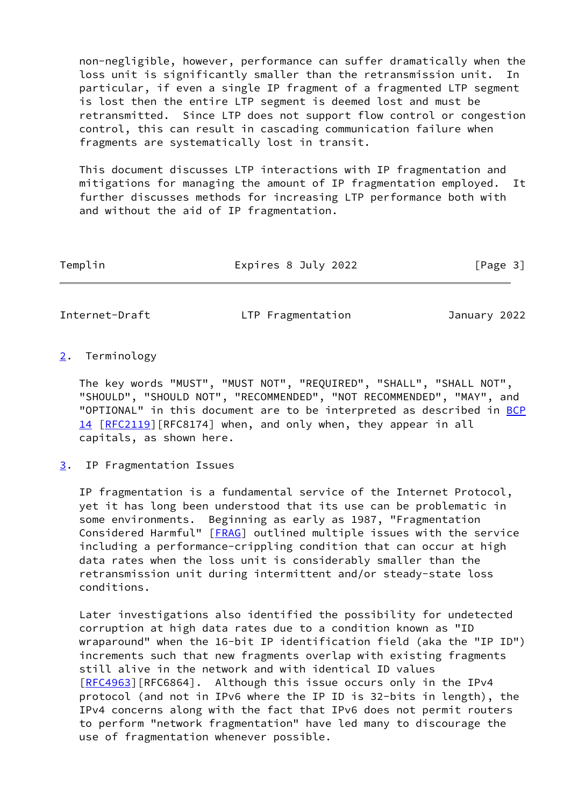non-negligible, however, performance can suffer dramatically when the loss unit is significantly smaller than the retransmission unit. In particular, if even a single IP fragment of a fragmented LTP segment is lost then the entire LTP segment is deemed lost and must be retransmitted. Since LTP does not support flow control or congestion control, this can result in cascading communication failure when fragments are systematically lost in transit.

 This document discusses LTP interactions with IP fragmentation and mitigations for managing the amount of IP fragmentation employed. It further discusses methods for increasing LTP performance both with and without the aid of IP fragmentation.

| Templin<br>Expires 8 July 2022 |  | [Page 3] |
|--------------------------------|--|----------|
|--------------------------------|--|----------|

<span id="page-3-1"></span>Internet-Draft LTP Fragmentation January 2022

### <span id="page-3-0"></span>[2](#page-3-0). Terminology

 The key words "MUST", "MUST NOT", "REQUIRED", "SHALL", "SHALL NOT", "SHOULD", "SHOULD NOT", "RECOMMENDED", "NOT RECOMMENDED", "MAY", and "OPTIONAL" in this document are to be interpreted as described in [BCP](https://datatracker.ietf.org/doc/pdf/bcp14) [14](https://datatracker.ietf.org/doc/pdf/bcp14) [[RFC2119\]](https://datatracker.ietf.org/doc/pdf/rfc2119) [RFC8174] when, and only when, they appear in all capitals, as shown here.

### <span id="page-3-2"></span>[3](#page-3-2). IP Fragmentation Issues

 IP fragmentation is a fundamental service of the Internet Protocol, yet it has long been understood that its use can be problematic in some environments. Beginning as early as 1987, "Fragmentation Considered Harmful" [\[FRAG](#page-13-2)] outlined multiple issues with the service including a performance-crippling condition that can occur at high data rates when the loss unit is considerably smaller than the retransmission unit during intermittent and/or steady-state loss conditions.

 Later investigations also identified the possibility for undetected corruption at high data rates due to a condition known as "ID wraparound" when the 16-bit IP identification field (aka the "IP ID") increments such that new fragments overlap with existing fragments still alive in the network and with identical ID values [\[RFC4963](https://datatracker.ietf.org/doc/pdf/rfc4963)][RFC6864]. Although this issue occurs only in the IPv4 protocol (and not in IPv6 where the IP ID is 32-bits in length), the IPv4 concerns along with the fact that IPv6 does not permit routers to perform "network fragmentation" have led many to discourage the use of fragmentation whenever possible.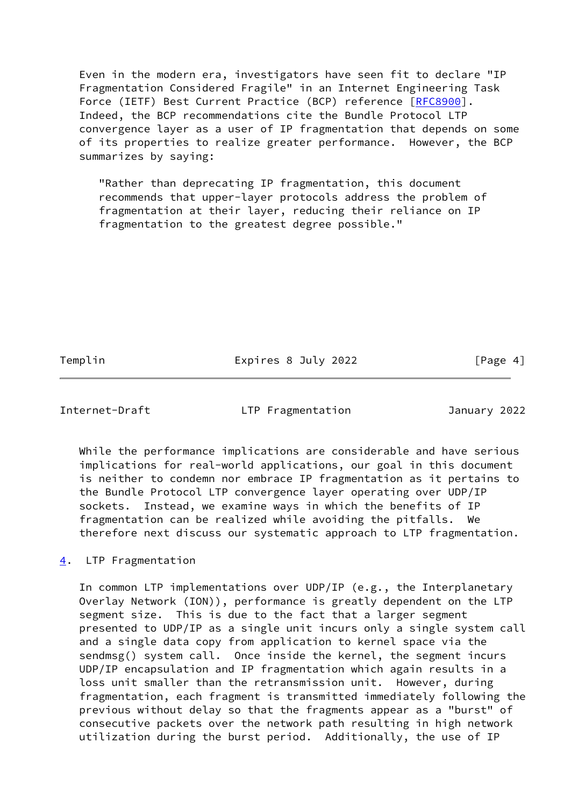Even in the modern era, investigators have seen fit to declare "IP Fragmentation Considered Fragile" in an Internet Engineering Task Force (IETF) Best Current Practice (BCP) reference [[RFC8900\]](https://datatracker.ietf.org/doc/pdf/rfc8900). Indeed, the BCP recommendations cite the Bundle Protocol LTP convergence layer as a user of IP fragmentation that depends on some of its properties to realize greater performance. However, the BCP summarizes by saying:

 "Rather than deprecating IP fragmentation, this document recommends that upper-layer protocols address the problem of fragmentation at their layer, reducing their reliance on IP fragmentation to the greatest degree possible."

Templin **Expires 8 July 2022** [Page 4]

<span id="page-4-1"></span>Internet-Draft LTP Fragmentation January 2022

 While the performance implications are considerable and have serious implications for real-world applications, our goal in this document is neither to condemn nor embrace IP fragmentation as it pertains to the Bundle Protocol LTP convergence layer operating over UDP/IP sockets. Instead, we examine ways in which the benefits of IP fragmentation can be realized while avoiding the pitfalls. We therefore next discuss our systematic approach to LTP fragmentation.

<span id="page-4-0"></span>[4](#page-4-0). LTP Fragmentation

 In common LTP implementations over UDP/IP (e.g., the Interplanetary Overlay Network (ION)), performance is greatly dependent on the LTP segment size. This is due to the fact that a larger segment presented to UDP/IP as a single unit incurs only a single system call and a single data copy from application to kernel space via the sendmsg() system call. Once inside the kernel, the segment incurs UDP/IP encapsulation and IP fragmentation which again results in a loss unit smaller than the retransmission unit. However, during fragmentation, each fragment is transmitted immediately following the previous without delay so that the fragments appear as a "burst" of consecutive packets over the network path resulting in high network utilization during the burst period. Additionally, the use of IP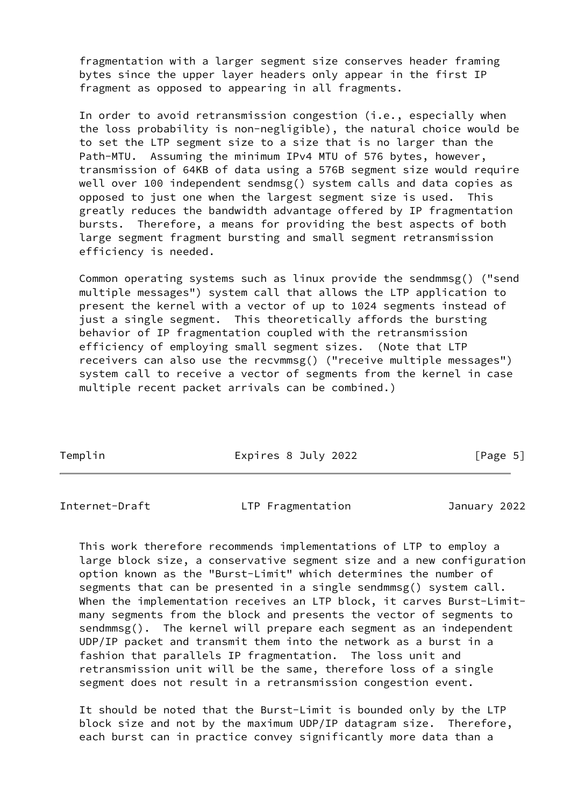fragmentation with a larger segment size conserves header framing bytes since the upper layer headers only appear in the first IP fragment as opposed to appearing in all fragments.

 In order to avoid retransmission congestion (i.e., especially when the loss probability is non-negligible), the natural choice would be to set the LTP segment size to a size that is no larger than the Path-MTU. Assuming the minimum IPv4 MTU of 576 bytes, however, transmission of 64KB of data using a 576B segment size would require well over 100 independent sendmsg() system calls and data copies as opposed to just one when the largest segment size is used. This greatly reduces the bandwidth advantage offered by IP fragmentation bursts. Therefore, a means for providing the best aspects of both large segment fragment bursting and small segment retransmission efficiency is needed.

 Common operating systems such as linux provide the sendmmsg() ("send multiple messages") system call that allows the LTP application to present the kernel with a vector of up to 1024 segments instead of just a single segment. This theoretically affords the bursting behavior of IP fragmentation coupled with the retransmission efficiency of employing small segment sizes. (Note that LTP receivers can also use the recvmmsg() ("receive multiple messages") system call to receive a vector of segments from the kernel in case multiple recent packet arrivals can be combined.)

Templin **Expires 8 July 2022** [Page 5]

<span id="page-5-0"></span>Internet-Draft LTP Fragmentation January 2022

 This work therefore recommends implementations of LTP to employ a large block size, a conservative segment size and a new configuration option known as the "Burst-Limit" which determines the number of segments that can be presented in a single sendmmsg() system call. When the implementation receives an LTP block, it carves Burst-Limit many segments from the block and presents the vector of segments to sendmmsg(). The kernel will prepare each segment as an independent UDP/IP packet and transmit them into the network as a burst in a fashion that parallels IP fragmentation. The loss unit and retransmission unit will be the same, therefore loss of a single segment does not result in a retransmission congestion event.

 It should be noted that the Burst-Limit is bounded only by the LTP block size and not by the maximum UDP/IP datagram size. Therefore, each burst can in practice convey significantly more data than a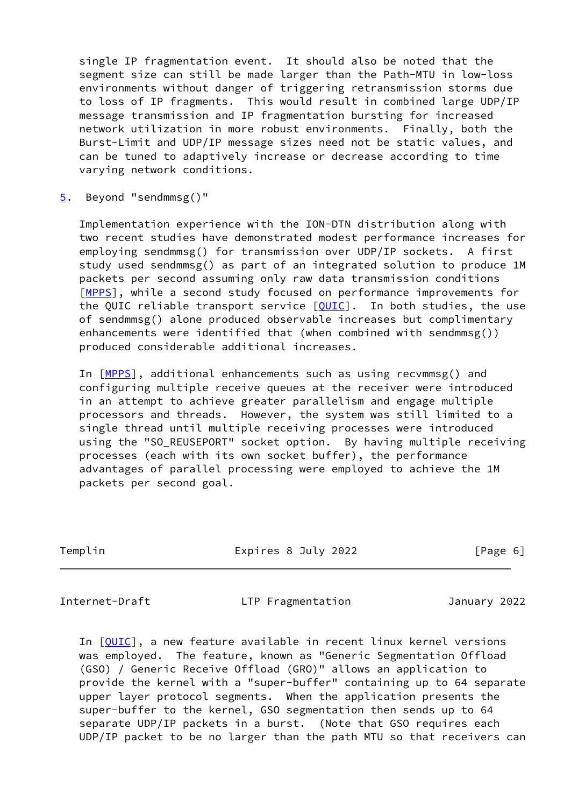single IP fragmentation event. It should also be noted that the segment size can still be made larger than the Path-MTU in low-loss environments without danger of triggering retransmission storms due to loss of IP fragments. This would result in combined large UDP/IP message transmission and IP fragmentation bursting for increased network utilization in more robust environments. Finally, both the Burst-Limit and UDP/IP message sizes need not be static values, and can be tuned to adaptively increase or decrease according to time varying network conditions.

<span id="page-6-0"></span>[5](#page-6-0). Beyond "sendmmsg()"

 Implementation experience with the ION-DTN distribution along with two recent studies have demonstrated modest performance increases for employing sendmmsg() for transmission over UDP/IP sockets. A first study used sendmmsg() as part of an integrated solution to produce 1M packets per second assuming only raw data transmission conditions [\[MPPS](#page-14-2)], while a second study focused on performance improvements for the QUIC reliable transport service [\[QUIC](#page-14-3)]. In both studies, the use of sendmmsg() alone produced observable increases but complimentary enhancements were identified that (when combined with sendmmsg()) produced considerable additional increases.

In [[MPPS\]](#page-14-2), additional enhancements such as using recvmmsg() and configuring multiple receive queues at the receiver were introduced in an attempt to achieve greater parallelism and engage multiple processors and threads. However, the system was still limited to a single thread until multiple receiving processes were introduced using the "SO\_REUSEPORT" socket option. By having multiple receiving processes (each with its own socket buffer), the performance advantages of parallel processing were employed to achieve the 1M packets per second goal.

Templin Expires 8 July 2022 [Page 6]

<span id="page-6-1"></span>

Internet-Draft LTP Fragmentation January 2022

In [[QUIC\]](#page-14-3), a new feature available in recent linux kernel versions was employed. The feature, known as "Generic Segmentation Offload (GSO) / Generic Receive Offload (GRO)" allows an application to provide the kernel with a "super-buffer" containing up to 64 separate upper layer protocol segments. When the application presents the super-buffer to the kernel, GSO segmentation then sends up to 64 separate UDP/IP packets in a burst. (Note that GSO requires each UDP/IP packet to be no larger than the path MTU so that receivers can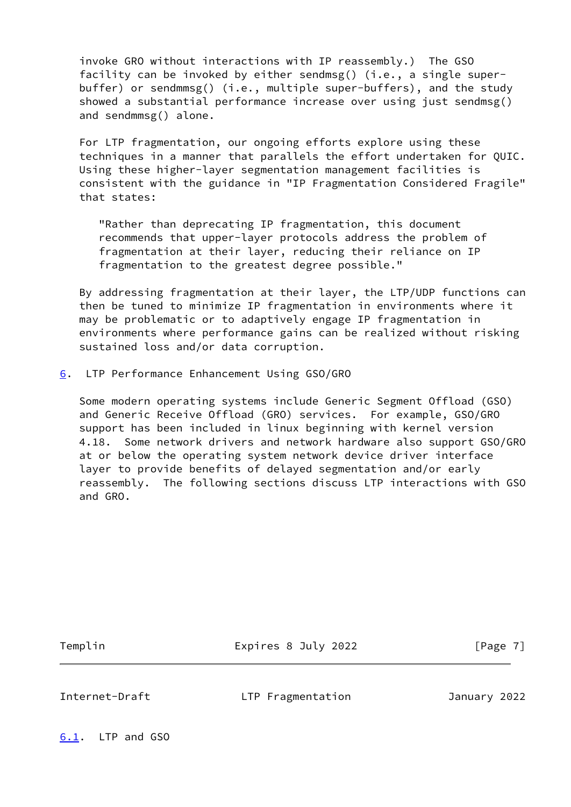invoke GRO without interactions with IP reassembly.) The GSO facility can be invoked by either sendmsg() (i.e., a single super buffer) or sendmmsg() (i.e., multiple super-buffers), and the study showed a substantial performance increase over using just sendmsg() and sendmmsg() alone.

 For LTP fragmentation, our ongoing efforts explore using these techniques in a manner that parallels the effort undertaken for QUIC. Using these higher-layer segmentation management facilities is consistent with the guidance in "IP Fragmentation Considered Fragile" that states:

 "Rather than deprecating IP fragmentation, this document recommends that upper-layer protocols address the problem of fragmentation at their layer, reducing their reliance on IP fragmentation to the greatest degree possible."

 By addressing fragmentation at their layer, the LTP/UDP functions can then be tuned to minimize IP fragmentation in environments where it may be problematic or to adaptively engage IP fragmentation in environments where performance gains can be realized without risking sustained loss and/or data corruption.

<span id="page-7-0"></span>[6](#page-7-0). LTP Performance Enhancement Using GSO/GRO

 Some modern operating systems include Generic Segment Offload (GSO) and Generic Receive Offload (GRO) services. For example, GSO/GRO support has been included in linux beginning with kernel version 4.18. Some network drivers and network hardware also support GSO/GRO at or below the operating system network device driver interface layer to provide benefits of delayed segmentation and/or early reassembly. The following sections discuss LTP interactions with GSO and GRO.

Templin **Expires 8 July 2022** [Page 7]

<span id="page-7-2"></span>Internet-Draft LTP Fragmentation January 2022

<span id="page-7-1"></span>[6.1](#page-7-1). LTP and GSO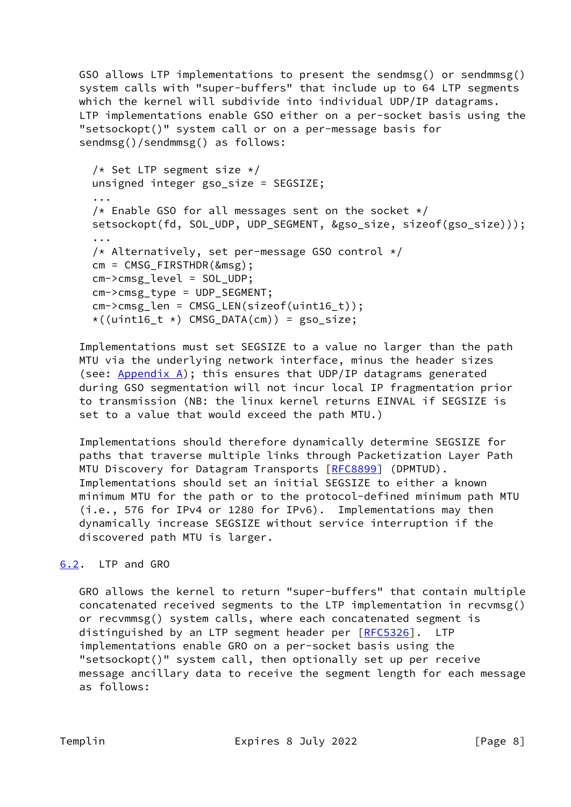GSO allows LTP implementations to present the sendmsg() or sendmmsg() system calls with "super-buffers" that include up to 64 LTP segments which the kernel will subdivide into individual UDP/IP datagrams. LTP implementations enable GSO either on a per-socket basis using the "setsockopt()" system call or on a per-message basis for sendmsg()/sendmmsg() as follows:

```
/* Set LTP segment size */ unsigned integer gso_size = SEGSIZE;
 ...
/* Enable GSO for all messages sent on the socket */ setsockopt(fd, SOL_UDP, UDP_SEGMENT, &gso_size, sizeof(gso_size)));
 ...
/* Alternatively, set per-message GSO control */cm = CMSG FIRSTHDR(&msg);
 cm->cmsg_level = SOL_UDP;
 cm->cmsg_type = UDP_SEGMENT;
cm->cmsg len = CMSG LEN(sizeof(uint16 t));
*((uint16_t *) CMSG_DATA(cm)) = gso_size;
```
 Implementations must set SEGSIZE to a value no larger than the path MTU via the underlying network interface, minus the header sizes (see:  $Appendix A)$ ; this ensures that UDP/IP datagrams generated during GSO segmentation will not incur local IP fragmentation prior to transmission (NB: the linux kernel returns EINVAL if SEGSIZE is set to a value that would exceed the path MTU.)

 Implementations should therefore dynamically determine SEGSIZE for paths that traverse multiple links through Packetization Layer Path MTU Discovery for Datagram Transports [[RFC8899](https://datatracker.ietf.org/doc/pdf/rfc8899)] (DPMTUD). Implementations should set an initial SEGSIZE to either a known minimum MTU for the path or to the protocol-defined minimum path MTU (i.e., 576 for IPv4 or 1280 for IPv6). Implementations may then dynamically increase SEGSIZE without service interruption if the discovered path MTU is larger.

# <span id="page-8-0"></span>[6.2](#page-8-0). LTP and GRO

 GRO allows the kernel to return "super-buffers" that contain multiple concatenated received segments to the LTP implementation in recvmsg() or recvmmsg() system calls, where each concatenated segment is distinguished by an LTP segment header per [[RFC5326\]](https://datatracker.ietf.org/doc/pdf/rfc5326). LTP implementations enable GRO on a per-socket basis using the "setsockopt()" system call, then optionally set up per receive message ancillary data to receive the segment length for each message as follows: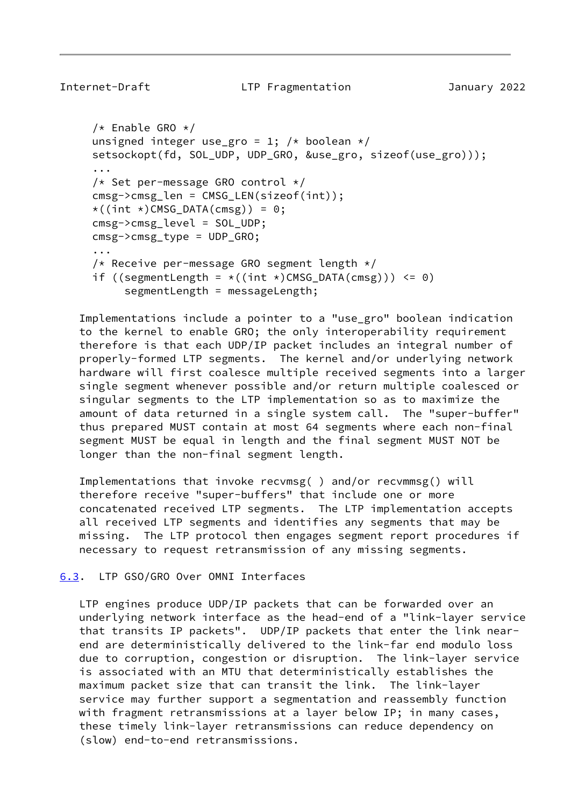```
/* Enable GRO */unsigned integer use gro = 1; /* boolean */
     setsockopt(fd, SOL UDP, UDP GRO, &use gro, sizeof(use gro)));
 ...
      /* Set per-message GRO control */
      cmsg->cmsg_len = CMSG_LEN(sizeof(int));
     \star((int \star)CMSG_DATA(cmsg)) = 0;
      cmsg->cmsg_level = SOL_UDP;
      cmsg->cmsg_type = UDP_GRO;
      ...
     /* Receive per-message GRO segment length */if ((segmentLength = \star((int \star)CMSG_DATA(cmsg))) <= 0)
```

```
 segmentLength = messageLength;
```
 Implementations include a pointer to a "use\_gro" boolean indication to the kernel to enable GRO; the only interoperability requirement therefore is that each UDP/IP packet includes an integral number of properly-formed LTP segments. The kernel and/or underlying network hardware will first coalesce multiple received segments into a larger single segment whenever possible and/or return multiple coalesced or singular segments to the LTP implementation so as to maximize the amount of data returned in a single system call. The "super-buffer" thus prepared MUST contain at most 64 segments where each non-final segment MUST be equal in length and the final segment MUST NOT be longer than the non-final segment length.

 Implementations that invoke recvmsg( ) and/or recvmmsg() will therefore receive "super-buffers" that include one or more concatenated received LTP segments. The LTP implementation accepts all received LTP segments and identifies any segments that may be missing. The LTP protocol then engages segment report procedures if necessary to request retransmission of any missing segments.

<span id="page-9-0"></span>[6.3](#page-9-0). LTP GSO/GRO Over OMNI Interfaces

 LTP engines produce UDP/IP packets that can be forwarded over an underlying network interface as the head-end of a "link-layer service that transits IP packets". UDP/IP packets that enter the link near end are deterministically delivered to the link-far end modulo loss due to corruption, congestion or disruption. The link-layer service is associated with an MTU that deterministically establishes the maximum packet size that can transit the link. The link-layer service may further support a segmentation and reassembly function with fragment retransmissions at a layer below IP; in many cases, these timely link-layer retransmissions can reduce dependency on (slow) end-to-end retransmissions.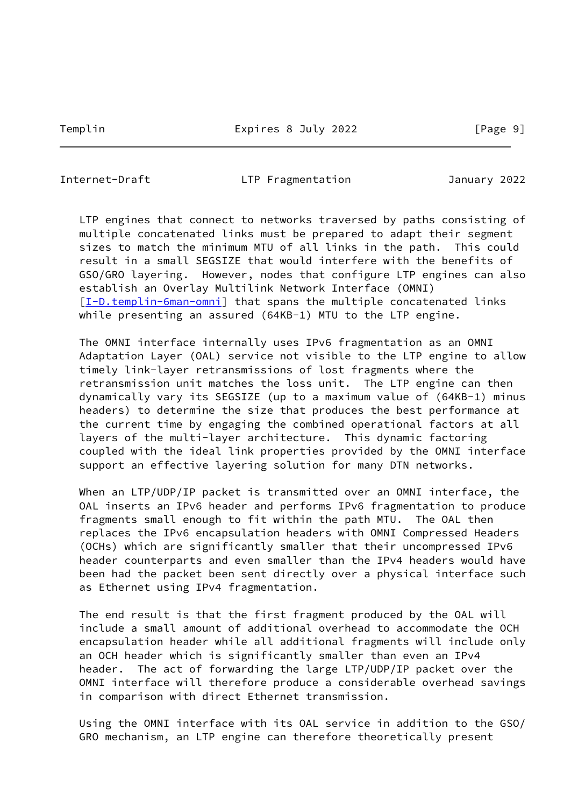Internet-Draft LTP Fragmentation January 2022

 LTP engines that connect to networks traversed by paths consisting of multiple concatenated links must be prepared to adapt their segment sizes to match the minimum MTU of all links in the path. This could result in a small SEGSIZE that would interfere with the benefits of GSO/GRO layering. However, nodes that configure LTP engines can also establish an Overlay Multilink Network Interface (OMNI) [\[I-D.templin-6man-omni](#page-13-3)] that spans the multiple concatenated links while presenting an assured (64KB-1) MTU to the LTP engine.

 The OMNI interface internally uses IPv6 fragmentation as an OMNI Adaptation Layer (OAL) service not visible to the LTP engine to allow timely link-layer retransmissions of lost fragments where the retransmission unit matches the loss unit. The LTP engine can then dynamically vary its SEGSIZE (up to a maximum value of (64KB-1) minus headers) to determine the size that produces the best performance at the current time by engaging the combined operational factors at all layers of the multi-layer architecture. This dynamic factoring coupled with the ideal link properties provided by the OMNI interface support an effective layering solution for many DTN networks.

When an LTP/UDP/IP packet is transmitted over an OMNI interface, the OAL inserts an IPv6 header and performs IPv6 fragmentation to produce fragments small enough to fit within the path MTU. The OAL then replaces the IPv6 encapsulation headers with OMNI Compressed Headers (OCHs) which are significantly smaller that their uncompressed IPv6 header counterparts and even smaller than the IPv4 headers would have been had the packet been sent directly over a physical interface such as Ethernet using IPv4 fragmentation.

 The end result is that the first fragment produced by the OAL will include a small amount of additional overhead to accommodate the OCH encapsulation header while all additional fragments will include only an OCH header which is significantly smaller than even an IPv4 header. The act of forwarding the large LTP/UDP/IP packet over the OMNI interface will therefore produce a considerable overhead savings in comparison with direct Ethernet transmission.

 Using the OMNI interface with its OAL service in addition to the GSO/ GRO mechanism, an LTP engine can therefore theoretically present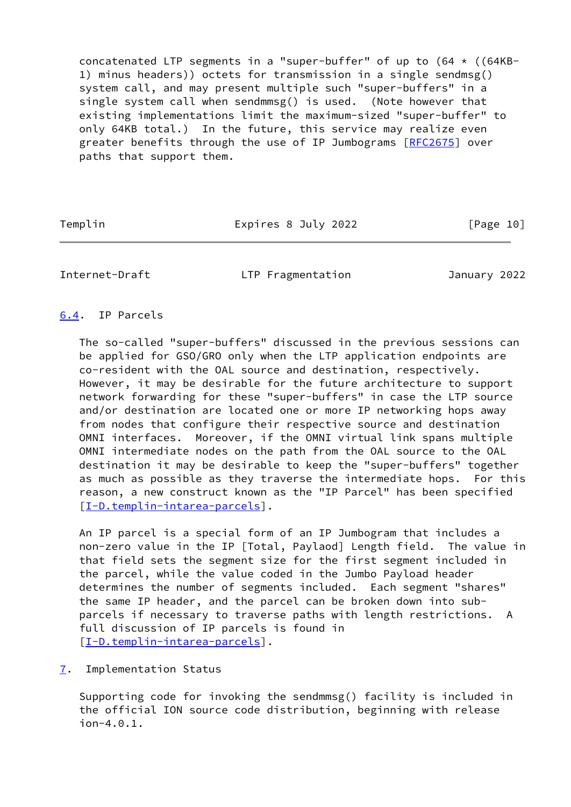concatenated LTP segments in a "super-buffer" of up to  $(64 \times (64KB -$  1) minus headers)) octets for transmission in a single sendmsg() system call, and may present multiple such "super-buffers" in a single system call when sendmmsg() is used. (Note however that existing implementations limit the maximum-sized "super-buffer" to only 64KB total.) In the future, this service may realize even greater benefits through the use of IP Jumbograms [[RFC2675](https://datatracker.ietf.org/doc/pdf/rfc2675)] over paths that support them.

Templin **Expires 8 July 2022** [Page 10]

<span id="page-11-1"></span>

Internet-Draft LTP Fragmentation January 2022

### <span id="page-11-0"></span>[6.4](#page-11-0). IP Parcels

 The so-called "super-buffers" discussed in the previous sessions can be applied for GSO/GRO only when the LTP application endpoints are co-resident with the OAL source and destination, respectively. However, it may be desirable for the future architecture to support network forwarding for these "super-buffers" in case the LTP source and/or destination are located one or more IP networking hops away from nodes that configure their respective source and destination OMNI interfaces. Moreover, if the OMNI virtual link spans multiple OMNI intermediate nodes on the path from the OAL source to the OAL destination it may be desirable to keep the "super-buffers" together as much as possible as they traverse the intermediate hops. For this reason, a new construct known as the "IP Parcel" has been specified [\[I-D.templin-intarea-parcels](#page-13-4)].

 An IP parcel is a special form of an IP Jumbogram that includes a non-zero value in the IP [Total, Paylaod] Length field. The value in that field sets the segment size for the first segment included in the parcel, while the value coded in the Jumbo Payload header determines the number of segments included. Each segment "shares" the same IP header, and the parcel can be broken down into sub parcels if necessary to traverse paths with length restrictions. A full discussion of IP parcels is found in [\[I-D.templin-intarea-parcels](#page-13-4)].

<span id="page-11-2"></span>[7](#page-11-2). Implementation Status

 Supporting code for invoking the sendmmsg() facility is included in the official ION source code distribution, beginning with release ion-4.0.1.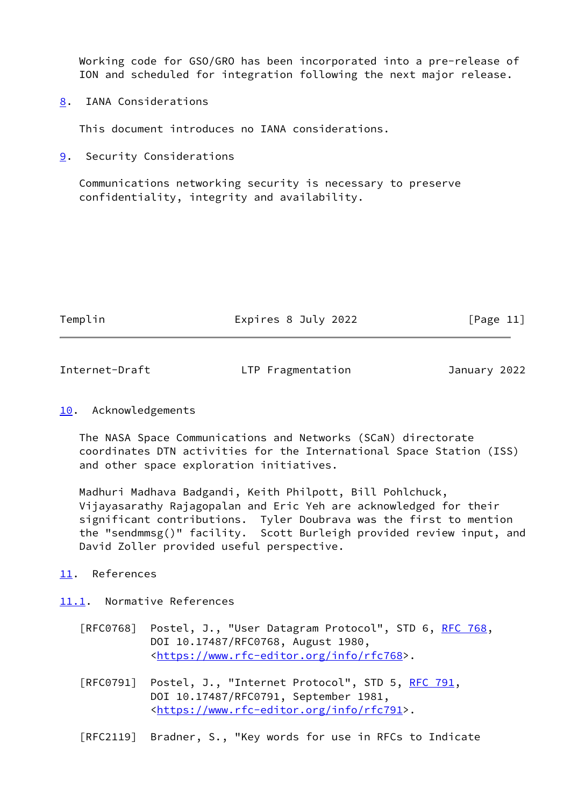Working code for GSO/GRO has been incorporated into a pre-release of ION and scheduled for integration following the next major release.

<span id="page-12-0"></span>[8](#page-12-0). IANA Considerations

This document introduces no IANA considerations.

<span id="page-12-1"></span>[9](#page-12-1). Security Considerations

 Communications networking security is necessary to preserve confidentiality, integrity and availability.

| emn |  |
|-----|--|
|     |  |

Expires 8 July 2022  $[Page 11]$ 

<span id="page-12-3"></span>Internet-Draft LTP Fragmentation January 2022

### <span id="page-12-2"></span>[10.](#page-12-2) Acknowledgements

 The NASA Space Communications and Networks (SCaN) directorate coordinates DTN activities for the International Space Station (ISS) and other space exploration initiatives.

 Madhuri Madhava Badgandi, Keith Philpott, Bill Pohlchuck, Vijayasarathy Rajagopalan and Eric Yeh are acknowledged for their significant contributions. Tyler Doubrava was the first to mention the "sendmmsg()" facility. Scott Burleigh provided review input, and David Zoller provided useful perspective.

- <span id="page-12-4"></span>[11.](#page-12-4) References
- <span id="page-12-5"></span>[11.1](#page-12-5). Normative References
	- [RFC0768] Postel, J., "User Datagram Protocol", STD 6, [RFC 768](https://datatracker.ietf.org/doc/pdf/rfc768), DOI 10.17487/RFC0768, August 1980, <<https://www.rfc-editor.org/info/rfc768>>.
	- [RFC0791] Postel, J., "Internet Protocol", STD 5, [RFC 791](https://datatracker.ietf.org/doc/pdf/rfc791), DOI 10.17487/RFC0791, September 1981, <<https://www.rfc-editor.org/info/rfc791>>.
	- [RFC2119] Bradner, S., "Key words for use in RFCs to Indicate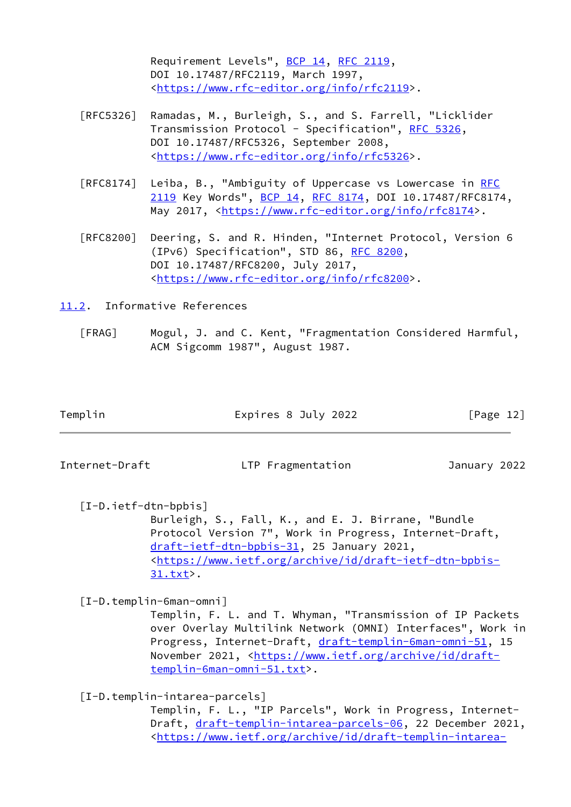Requirement Levels", [BCP 14](https://datatracker.ietf.org/doc/pdf/bcp14), [RFC 2119](https://datatracker.ietf.org/doc/pdf/rfc2119), DOI 10.17487/RFC2119, March 1997, <[https://www.rfc-editor.org/info/rfc2119>](https://www.rfc-editor.org/info/rfc2119).

- [RFC5326] Ramadas, M., Burleigh, S., and S. Farrell, "Licklider Transmission Protocol - Specification", [RFC 5326,](https://datatracker.ietf.org/doc/pdf/rfc5326) DOI 10.17487/RFC5326, September 2008, <[https://www.rfc-editor.org/info/rfc5326>](https://www.rfc-editor.org/info/rfc5326).
- [RFC8174] Leiba, B., "Ambiguity of Uppercase vs Lowercase in [RFC](https://datatracker.ietf.org/doc/pdf/rfc2119) [2119](https://datatracker.ietf.org/doc/pdf/rfc2119) Key Words", [BCP 14](https://datatracker.ietf.org/doc/pdf/bcp14), [RFC 8174,](https://datatracker.ietf.org/doc/pdf/rfc8174) DOI 10.17487/RFC8174, May 2017, [<https://www.rfc-editor.org/info/rfc8174](https://www.rfc-editor.org/info/rfc8174)>.
- [RFC8200] Deering, S. and R. Hinden, "Internet Protocol, Version 6 (IPv6) Specification", STD 86, [RFC 8200](https://datatracker.ietf.org/doc/pdf/rfc8200), DOI 10.17487/RFC8200, July 2017, <[https://www.rfc-editor.org/info/rfc8200>](https://www.rfc-editor.org/info/rfc8200).

<span id="page-13-0"></span>[11.2](#page-13-0). Informative References

<span id="page-13-2"></span> [FRAG] Mogul, J. and C. Kent, "Fragmentation Considered Harmful, ACM Sigcomm 1987", August 1987.

| Templin | Expires 8 July 2022 | [Page 12] |
|---------|---------------------|-----------|
|         |                     |           |

Internet-Draft LTP Fragmentation January 2022

<span id="page-13-1"></span> [I-D.ietf-dtn-bpbis] Burleigh, S., Fall, K., and E. J. Birrane, "Bundle Protocol Version 7", Work in Progress, Internet-Draft, [draft-ietf-dtn-bpbis-31](https://datatracker.ietf.org/doc/pdf/draft-ietf-dtn-bpbis-31), 25 January 2021, <[https://www.ietf.org/archive/id/draft-ietf-dtn-bpbis-](https://www.ietf.org/archive/id/draft-ietf-dtn-bpbis-31.txt) [31.txt](https://www.ietf.org/archive/id/draft-ietf-dtn-bpbis-31.txt)>.

<span id="page-13-3"></span>[I-D.templin-6man-omni]

 Templin, F. L. and T. Whyman, "Transmission of IP Packets over Overlay Multilink Network (OMNI) Interfaces", Work in Progress, Internet-Draft, [draft-templin-6man-omni-51,](https://datatracker.ietf.org/doc/pdf/draft-templin-6man-omni-51) 15 November 2021, <[https://www.ietf.org/archive/id/draft](https://www.ietf.org/archive/id/draft-templin-6man-omni-51.txt) [templin-6man-omni-51.txt>](https://www.ietf.org/archive/id/draft-templin-6man-omni-51.txt).

<span id="page-13-4"></span>[I-D.templin-intarea-parcels]

 Templin, F. L., "IP Parcels", Work in Progress, Internet Draft, [draft-templin-intarea-parcels-06](https://datatracker.ietf.org/doc/pdf/draft-templin-intarea-parcels-06), 22 December 2021, <[https://www.ietf.org/archive/id/draft-templin-intarea-](https://www.ietf.org/archive/id/draft-templin-intarea-parcels-06.txt)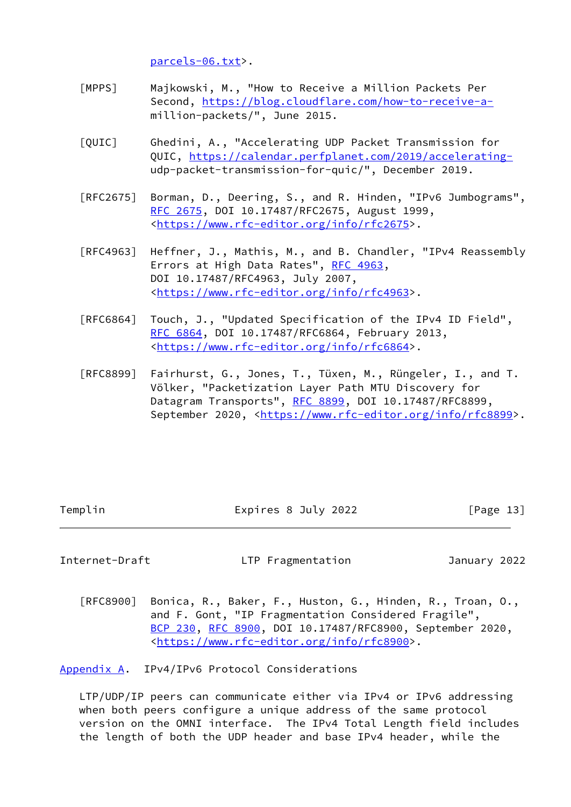[parcels-06.txt](https://www.ietf.org/archive/id/draft-templin-intarea-parcels-06.txt)>.

- <span id="page-14-2"></span> [MPPS] Majkowski, M., "How to Receive a Million Packets Per Second, [https://blog.cloudflare.com/how-to-receive-a](https://blog.cloudflare.com/how-to-receive-a-) million-packets/", June 2015.
- <span id="page-14-3"></span> [QUIC] Ghedini, A., "Accelerating UDP Packet Transmission for QUIC, [https://calendar.perfplanet.com/2019/accelerating](https://calendar.perfplanet.com/2019/accelerating-) udp-packet-transmission-for-quic/", December 2019.
- [RFC2675] Borman, D., Deering, S., and R. Hinden, "IPv6 Jumbograms", [RFC 2675,](https://datatracker.ietf.org/doc/pdf/rfc2675) DOI 10.17487/RFC2675, August 1999, <[https://www.rfc-editor.org/info/rfc2675>](https://www.rfc-editor.org/info/rfc2675).
- [RFC4963] Heffner, J., Mathis, M., and B. Chandler, "IPv4 Reassembly Errors at High Data Rates", [RFC 4963,](https://datatracker.ietf.org/doc/pdf/rfc4963) DOI 10.17487/RFC4963, July 2007, <[https://www.rfc-editor.org/info/rfc4963>](https://www.rfc-editor.org/info/rfc4963).
- [RFC6864] Touch, J., "Updated Specification of the IPv4 ID Field", [RFC 6864,](https://datatracker.ietf.org/doc/pdf/rfc6864) DOI 10.17487/RFC6864, February 2013, <[https://www.rfc-editor.org/info/rfc6864>](https://www.rfc-editor.org/info/rfc6864).
- [RFC8899] Fairhurst, G., Jones, T., Tüxen, M., Rüngeler, I., and T. Völker, "Packetization Layer Path MTU Discovery for Datagram Transports", [RFC 8899](https://datatracker.ietf.org/doc/pdf/rfc8899), DOI 10.17487/RFC8899, September 2020, <[https://www.rfc-editor.org/info/rfc8899>](https://www.rfc-editor.org/info/rfc8899).

Templin Expires 8 July 2022 [Page 13]

<span id="page-14-1"></span>Internet-Draft LTP Fragmentation January 2022

 [RFC8900] Bonica, R., Baker, F., Huston, G., Hinden, R., Troan, O., and F. Gont, "IP Fragmentation Considered Fragile", [BCP 230](https://datatracker.ietf.org/doc/pdf/bcp230), [RFC 8900,](https://datatracker.ietf.org/doc/pdf/rfc8900) DOI 10.17487/RFC8900, September 2020, <[https://www.rfc-editor.org/info/rfc8900>](https://www.rfc-editor.org/info/rfc8900).

<span id="page-14-0"></span>[Appendix A.](#page-14-0) IPv4/IPv6 Protocol Considerations

 LTP/UDP/IP peers can communicate either via IPv4 or IPv6 addressing when both peers configure a unique address of the same protocol version on the OMNI interface. The IPv4 Total Length field includes the length of both the UDP header and base IPv4 header, while the